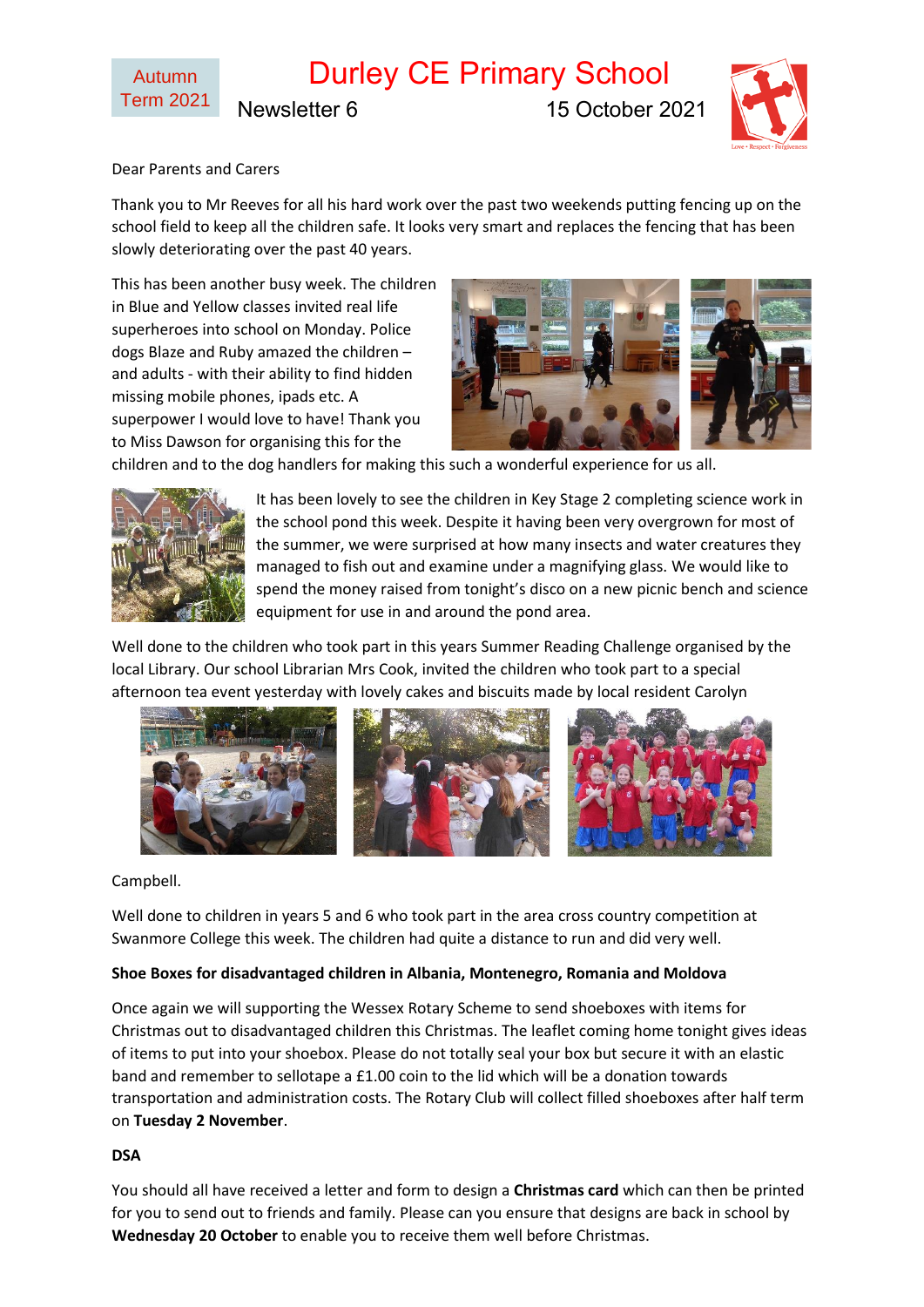# Durley CE Primary School

Newsletter 6 15 October 2021



Dear Parents and Carers

Thank you to Mr Reeves for all his hard work over the past two weekends putting fencing up on the school field to keep all the children safe. It looks very smart and replaces the fencing that has been slowly deteriorating over the past 40 years.

This has been another busy week. The children in Blue and Yellow classes invited real life superheroes into school on Monday. Police dogs Blaze and Ruby amazed the children – and adults - with their ability to find hidden missing mobile phones, ipads etc. A superpower I would love to have! Thank you to Miss Dawson for organising this for the



children and to the dog handlers for making this such a wonderful experience for us all.



It has been lovely to see the children in Key Stage 2 completing science work in the school pond this week. Despite it having been very overgrown for most of the summer, we were surprised at how many insects and water creatures they managed to fish out and examine under a magnifying glass. We would like to spend the money raised from tonight's disco on a new picnic bench and science equipment for use in and around the pond area.

Well done to the children who took part in this years Summer Reading Challenge organised by the local Library. Our school Librarian Mrs Cook, invited the children who took part to a special afternoon tea event yesterday with lovely cakes and biscuits made by local resident Carolyn



## Campbell.

Well done to children in years 5 and 6 who took part in the area cross country competition at Swanmore College this week. The children had quite a distance to run and did very well.

## **Shoe Boxes for disadvantaged children in Albania, Montenegro, Romania and Moldova**

Once again we will supporting the Wessex Rotary Scheme to send shoeboxes with items for Christmas out to disadvantaged children this Christmas. The leaflet coming home tonight gives ideas of items to put into your shoebox. Please do not totally seal your box but secure it with an elastic band and remember to sellotape a £1.00 coin to the lid which will be a donation towards transportation and administration costs. The Rotary Club will collect filled shoeboxes after half term on **Tuesday 2 November**.

## **DSA**

You should all have received a letter and form to design a **Christmas card** which can then be printed for you to send out to friends and family. Please can you ensure that designs are back in school by **Wednesday 20 October** to enable you to receive them well before Christmas.